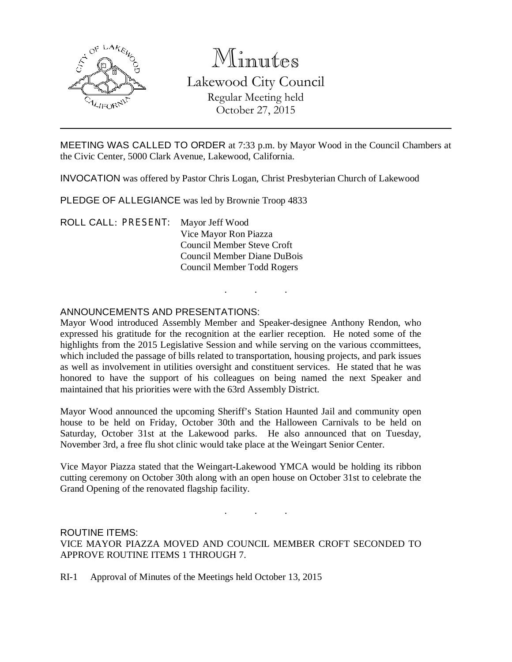

# Minutes Lakewood City Council Regular Meeting held October 27, 2015

MEETING WAS CALLED TO ORDER at 7:33 p.m. by Mayor Wood in the Council Chambers at the Civic Center, 5000 Clark Avenue, Lakewood, California.

INVOCATION was offered by Pastor Chris Logan, Christ Presbyterian Church of Lakewood

PLEDGE OF ALLEGIANCE was led by Brownie Troop 4833

ROLL CALL: PRESENT: Mayor Jeff Wood Vice Mayor Ron Piazza Council Member Steve Croft Council Member Diane DuBois Council Member Todd Rogers

#### ANNOUNCEMENTS AND PRESENTATIONS:

Mayor Wood introduced Assembly Member and Speaker-designee Anthony Rendon, who expressed his gratitude for the recognition at the earlier reception. He noted some of the highlights from the 2015 Legislative Session and while serving on the various ccommittees, which included the passage of bills related to transportation, housing projects, and park issues as well as involvement in utilities oversight and constituent services. He stated that he was honored to have the support of his colleagues on being named the next Speaker and maintained that his priorities were with the 63rd Assembly District.

. . .

Mayor Wood announced the upcoming Sheriff's Station Haunted Jail and community open house to be held on Friday, October 30th and the Halloween Carnivals to be held on Saturday, October 31st at the Lakewood parks. He also announced that on Tuesday, November 3rd, a free flu shot clinic would take place at the Weingart Senior Center.

Vice Mayor Piazza stated that the Weingart-Lakewood YMCA would be holding its ribbon cutting ceremony on October 30th along with an open house on October 31st to celebrate the Grand Opening of the renovated flagship facility.

. . .

ROUTINE ITEMS: VICE MAYOR PIAZZA MOVED AND COUNCIL MEMBER CROFT SECONDED TO APPROVE ROUTINE ITEMS 1 THROUGH 7.

RI-1 Approval of Minutes of the Meetings held October 13, 2015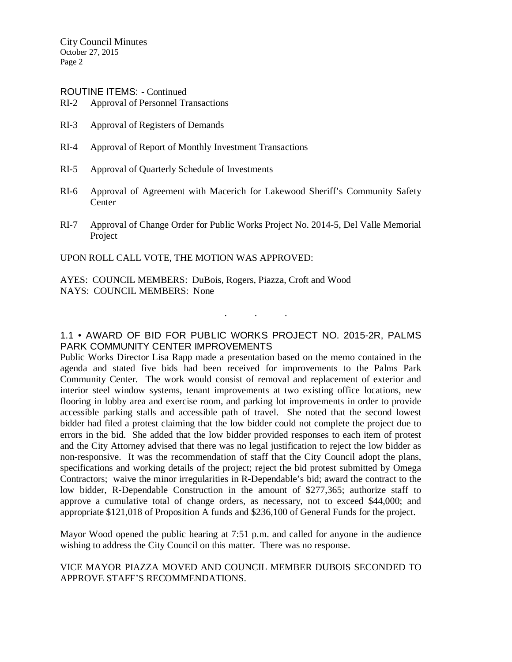City Council Minutes October 27, 2015 Page 2

ROUTINE ITEMS: - Continued

- RI-2 Approval of Personnel Transactions
- RI-3 Approval of Registers of Demands
- RI-4 Approval of Report of Monthly Investment Transactions
- RI-5 Approval of Quarterly Schedule of Investments
- RI-6 Approval of Agreement with Macerich for Lakewood Sheriff's Community Safety **Center**
- RI-7 Approval of Change Order for Public Works Project No. 2014-5, Del Valle Memorial **Project**

UPON ROLL CALL VOTE, THE MOTION WAS APPROVED:

AYES: COUNCIL MEMBERS: DuBois, Rogers, Piazza, Croft and Wood NAYS: COUNCIL MEMBERS: None

## 1.1 • AWARD OF BID FOR PUBLIC WORKS PROJECT NO. 2015-2R, PALMS PARK COMMUNITY CENTER IMPROVEMENTS

. . .

Public Works Director Lisa Rapp made a presentation based on the memo contained in the agenda and stated five bids had been received for improvements to the Palms Park Community Center. The work would consist of removal and replacement of exterior and interior steel window systems, tenant improvements at two existing office locations, new flooring in lobby area and exercise room, and parking lot improvements in order to provide accessible parking stalls and accessible path of travel. She noted that the second lowest bidder had filed a protest claiming that the low bidder could not complete the project due to errors in the bid. She added that the low bidder provided responses to each item of protest and the City Attorney advised that there was no legal justification to reject the low bidder as non-responsive. It was the recommendation of staff that the City Council adopt the plans, specifications and working details of the project; reject the bid protest submitted by Omega Contractors; waive the minor irregularities in R-Dependable's bid; award the contract to the low bidder, R-Dependable Construction in the amount of \$277,365; authorize staff to approve a cumulative total of change orders, as necessary, not to exceed \$44,000; and appropriate \$121,018 of Proposition A funds and \$236,100 of General Funds for the project.

Mayor Wood opened the public hearing at 7:51 p.m. and called for anyone in the audience wishing to address the City Council on this matter. There was no response.

### VICE MAYOR PIAZZA MOVED AND COUNCIL MEMBER DUBOIS SECONDED TO APPROVE STAFF'S RECOMMENDATIONS.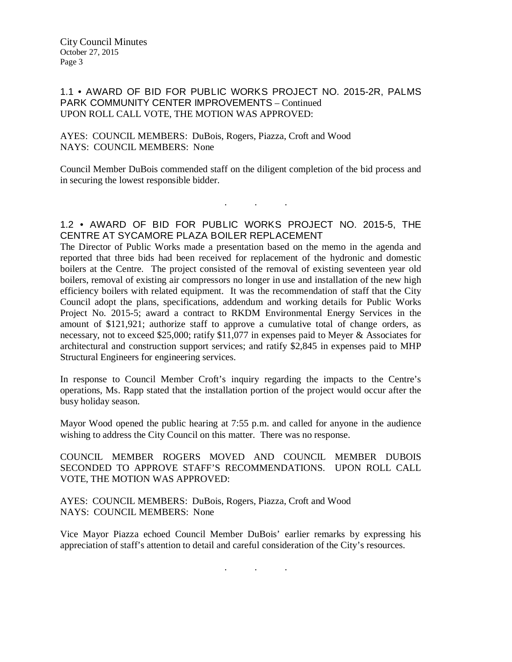### 1.1 • AWARD OF BID FOR PUBLIC WORKS PROJECT NO. 2015-2R, PALMS PARK COMMUNITY CENTER IMPROVEMENTS – Continued UPON ROLL CALL VOTE, THE MOTION WAS APPROVED:

#### AYES: COUNCIL MEMBERS: DuBois, Rogers, Piazza, Croft and Wood NAYS: COUNCIL MEMBERS: None

Council Member DuBois commended staff on the diligent completion of the bid process and in securing the lowest responsible bidder.

1.2 • AWARD OF BID FOR PUBLIC WORKS PROJECT NO. 2015-5, THE CENTRE AT SYCAMORE PLAZA BOILER REPLACEMENT

. . .

The Director of Public Works made a presentation based on the memo in the agenda and reported that three bids had been received for replacement of the hydronic and domestic boilers at the Centre. The project consisted of the removal of existing seventeen year old boilers, removal of existing air compressors no longer in use and installation of the new high efficiency boilers with related equipment. It was the recommendation of staff that the City Council adopt the plans, specifications, addendum and working details for Public Works Project No. 2015-5; award a contract to RKDM Environmental Energy Services in the amount of \$121,921; authorize staff to approve a cumulative total of change orders, as necessary, not to exceed \$25,000; ratify \$11,077 in expenses paid to Meyer & Associates for architectural and construction support services; and ratify \$2,845 in expenses paid to MHP Structural Engineers for engineering services.

In response to Council Member Croft's inquiry regarding the impacts to the Centre's operations, Ms. Rapp stated that the installation portion of the project would occur after the busy holiday season.

Mayor Wood opened the public hearing at 7:55 p.m. and called for anyone in the audience wishing to address the City Council on this matter. There was no response.

COUNCIL MEMBER ROGERS MOVED AND COUNCIL MEMBER DUBOIS SECONDED TO APPROVE STAFF'S RECOMMENDATIONS. UPON ROLL CALL VOTE, THE MOTION WAS APPROVED:

AYES: COUNCIL MEMBERS: DuBois, Rogers, Piazza, Croft and Wood NAYS: COUNCIL MEMBERS: None

Vice Mayor Piazza echoed Council Member DuBois' earlier remarks by expressing his appreciation of staff's attention to detail and careful consideration of the City's resources.

. . .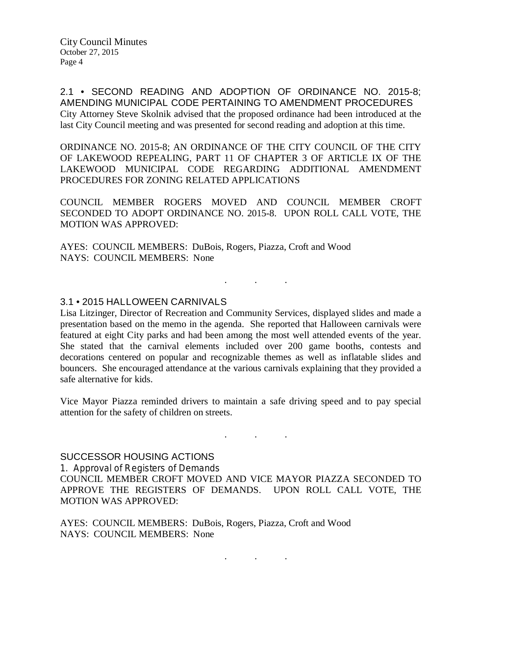2.1 • SECOND READING AND ADOPTION OF ORDINANCE NO. 2015-8; AMENDING MUNICIPAL CODE PERTAINING TO AMENDMENT PROCEDURES City Attorney Steve Skolnik advised that the proposed ordinance had been introduced at the last City Council meeting and was presented for second reading and adoption at this time.

ORDINANCE NO. 2015-8; AN ORDINANCE OF THE CITY COUNCIL OF THE CITY OF LAKEWOOD REPEALING, PART 11 OF CHAPTER 3 OF ARTICLE IX OF THE LAKEWOOD MUNICIPAL CODE REGARDING ADDITIONAL AMENDMENT PROCEDURES FOR ZONING RELATED APPLICATIONS

COUNCIL MEMBER ROGERS MOVED AND COUNCIL MEMBER CROFT SECONDED TO ADOPT ORDINANCE NO. 2015-8. UPON ROLL CALL VOTE, THE MOTION WAS APPROVED:

AYES: COUNCIL MEMBERS: DuBois, Rogers, Piazza, Croft and Wood NAYS: COUNCIL MEMBERS: None

#### 3.1 • 2015 HALLOWEEN CARNIVALS

Lisa Litzinger, Director of Recreation and Community Services, displayed slides and made a presentation based on the memo in the agenda. She reported that Halloween carnivals were featured at eight City parks and had been among the most well attended events of the year. She stated that the carnival elements included over 200 game booths, contests and decorations centered on popular and recognizable themes as well as inflatable slides and bouncers. She encouraged attendance at the various carnivals explaining that they provided a safe alternative for kids.

. . .

Vice Mayor Piazza reminded drivers to maintain a safe driving speed and to pay special attention for the safety of children on streets.

. As we have the set of  $\mathcal{A}$  , and  $\mathcal{A}$ 

#### SUCCESSOR HOUSING ACTIONS

1. Approval of Registers of Demands COUNCIL MEMBER CROFT MOVED AND VICE MAYOR PIAZZA SECONDED TO APPROVE THE REGISTERS OF DEMANDS. UPON ROLL CALL VOTE, THE MOTION WAS APPROVED:

AYES: COUNCIL MEMBERS: DuBois, Rogers, Piazza, Croft and Wood NAYS: COUNCIL MEMBERS: None

. . .